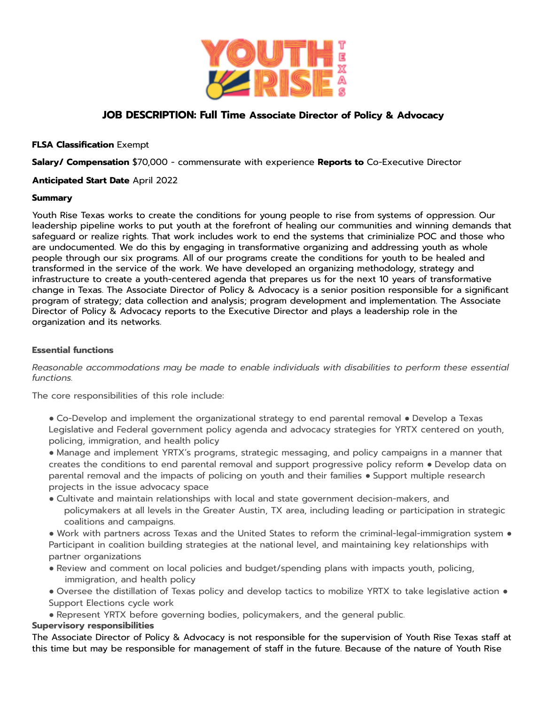

# **JOB DESCRIPTION: Full Time Associate Director of Policy & Advocacy**

## **FLSA Classification** Exempt

**Salary/ Compensation** \$70,000 - commensurate with experience **Reports to** Co-Executive Director

## **Anticipated Start Date** April 2022

## **Summary**

Youth Rise Texas works to create the conditions for young people to rise from systems of oppression. Our leadership pipeline works to put youth at the forefront of healing our communities and winning demands that safeguard or realize rights. That work includes work to end the systems that criminialize POC and those who are undocumented. We do this by engaging in transformative organizing and addressing youth as whole people through our six programs. All of our programs create the conditions for youth to be healed and transformed in the service of the work. We have developed an organizing methodology, strategy and infrastructure to create a youth-centered agenda that prepares us for the next 10 years of transformative change in Texas. The Associate Director of Policy & Advocacy is a senior position responsible for a significant program of strategy; data collection and analysis; program development and implementation. The Associate Director of Policy & Advocacy reports to the Executive Director and plays a leadership role in the organization and its networks.

## **Essential functions**

*Reasonable accommodations may be made to enable individuals with disabilities to perform these essential functions.*

The core responsibilities of this role include:

● Co-Develop and implement the organizational strategy to end parental removal ● Develop a Texas Legislative and Federal government policy agenda and advocacy strategies for YRTX centered on youth, policing, immigration, and health policy

● Manage and implement YRTX's programs, strategic messaging, and policy campaigns in a manner that creates the conditions to end parental removal and support progressive policy reform ● Develop data on parental removal and the impacts of policing on youth and their families ● Support multiple research projects in the issue advocacy space

● Cultivate and maintain relationships with local and state government decision-makers, and policymakers at all levels in the Greater Austin, TX area, including leading or participation in strategic coalitions and campaigns.

● Work with partners across Texas and the United States to reform the criminal-legal-immigration system ● Participant in coalition building strategies at the national level, and maintaining key relationships with partner organizations

- Review and comment on local policies and budget/spending plans with impacts youth, policing, immigration, and health policy
- Oversee the distillation of Texas policy and develop tactics to mobilize YRTX to take legislative action Support Elections cycle work
- Represent YRTX before governing bodies, policymakers, and the general public.

## **Supervisory responsibilities**

The Associate Director of Policy & Advocacy is not responsible for the supervision of Youth Rise Texas staff at this time but may be responsible for management of staff in the future. Because of the nature of Youth Rise